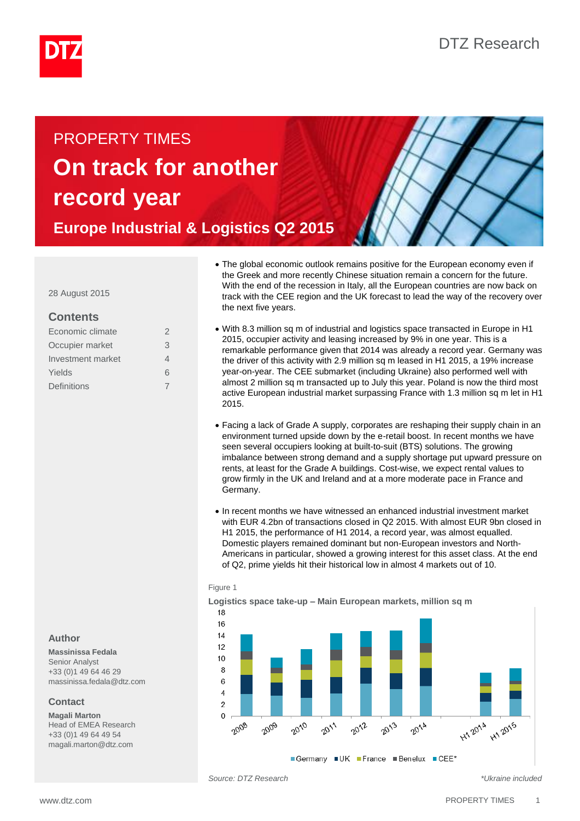

# PROPERTY TIMES **On track for another record year**

**Europe Industrial & Logistics Q2 2015**



28 August 2015

# **Contents**

| Economic climate  | 2 |
|-------------------|---|
| Occupier market   | 3 |
| Investment market | 4 |
| Yields            | 6 |
| Definitions       |   |
|                   |   |

# **Author**

**Massinissa Fedala** Senior Analyst +33 (0)1 49 64 46 29

massinissa.fedala@dtz.com

# **Contact**

**Magali Marton** Head of EMEA Research +33 (0)1 49 64 49 54 magali.marton@dtz.com

- The global economic outlook remains positive for the European economy even if the Greek and more recently Chinese situation remain a concern for the future. With the end of the recession in Italy, all the European countries are now back on track with the CEE region and the UK forecast to lead the way of the recovery over the next five years.
- With 8.3 million sq m of industrial and logistics space transacted in Europe in H1 2015, occupier activity and leasing increased by 9% in one year. This is a remarkable performance given that 2014 was already a record year. Germany was the driver of this activity with 2.9 million sq m leased in H1 2015, a 19% increase year-on-year. The CEE submarket (including Ukraine) also performed well with almost 2 million sq m transacted up to July this year. Poland is now the third most active European industrial market surpassing France with 1.3 million sq m let in H1 2015.
- Facing a lack of Grade A supply, corporates are reshaping their supply chain in an environment turned upside down by the e-retail boost. In recent months we have seen several occupiers looking at built-to-suit (BTS) solutions. The growing imbalance between strong demand and a supply shortage put upward pressure on rents, at least for the Grade A buildings. Cost-wise, we expect rental values to grow firmly in the UK and Ireland and at a more moderate pace in France and Germany.
- In recent months we have witnessed an enhanced industrial investment market with EUR 4.2bn of transactions closed in Q2 2015. With almost EUR 9bn closed in H1 2015, the performance of H1 2014, a record year, was almost equalled. Domestic players remained dominant but non-European investors and North-Americans in particular, showed a growing interest for this asset class. At the end of Q2, prime yields hit their historical low in almost 4 markets out of 10.

## Figure 1

**Logistics space take-up – Main European markets, million sq m** 



*Source: DTZ Research \*Ukraine included*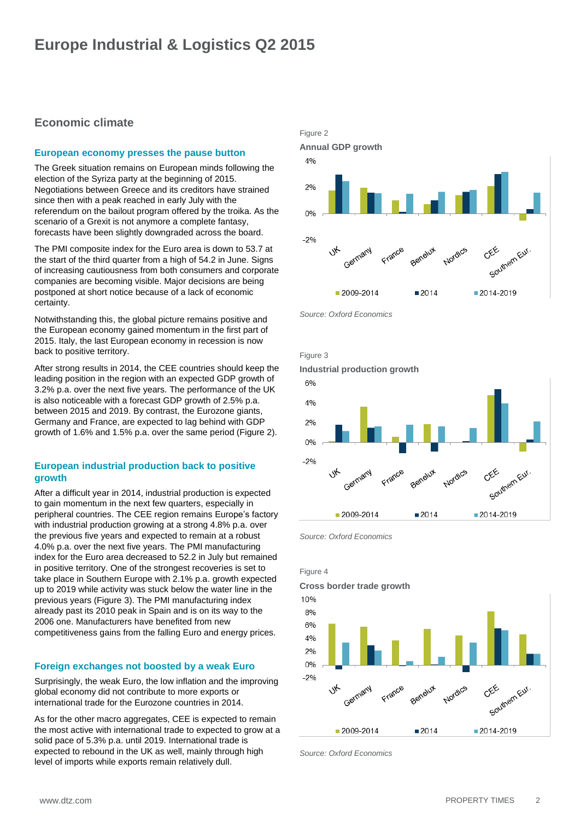# <span id="page-1-0"></span>**Economic climate**

# **European economy presses the pause button**

The Greek situation remains on European minds following the election of the Syriza party at the beginning of 2015. Negotiations between Greece and its creditors have strained since then with a peak reached in early July with the referendum on the bailout program offered by the troika. As the scenario of a Grexit is not anymore a complete fantasy, forecasts have been slightly downgraded across the board.

The PMI composite index for the Euro area is down to 53.7 at the start of the third quarter from a high of 54.2 in June. Signs of increasing cautiousness from both consumers and corporate companies are becoming visible. Major decisions are being postponed at short notice because of a lack of economic certainty.

Notwithstanding this, the global picture remains positive and the European economy gained momentum in the first part of 2015. Italy, the last European economy in recession is now back to positive territory.

After strong results in 2014, the CEE countries should keep the leading position in the region with an expected GDP growth of 3.2% p.a. over the next five years. The performance of the UK is also noticeable with a forecast GDP growth of 2.5% p.a. between 2015 and 2019. By contrast, the Eurozone giants, Germany and France, are expected to lag behind with GDP growth of 1.6% and 1.5% p.a. over the same period (Figure 2).

# **European industrial production back to positive growth**

After a difficult year in 2014, industrial production is expected to gain momentum in the next few quarters, especially in peripheral countries. The CEE region remains Europe's factory with industrial production growing at a strong 4.8% p.a. over the previous five years and expected to remain at a robust 4.0% p.a. over the next five years. The PMI manufacturing index for the Euro area decreased to 52.2 in July but remained in positive territory. One of the strongest recoveries is set to take place in Southern Europe with 2.1% p.a. growth expected up to 2019 while activity was stuck below the water line in the previous years (Figure 3). The PMI manufacturing index already past its 2010 peak in Spain and is on its way to the 2006 one. Manufacturers have benefited from new competitiveness gains from the falling Euro and energy prices.

# **Foreign exchanges not boosted by a weak Euro**

Surprisingly, the weak Euro, the low inflation and the improving global economy did not contribute to more exports or international trade for the Eurozone countries in 2014.

As for the other macro aggregates, CEE is expected to remain the most active with international trade to expected to grow at a solid pace of 5.3% p.a. until 2019. International trade is expected to rebound in the UK as well, mainly through high level of imports while exports remain relatively dull.



*Source: Oxford Economics* 







*Source: Oxford Economics*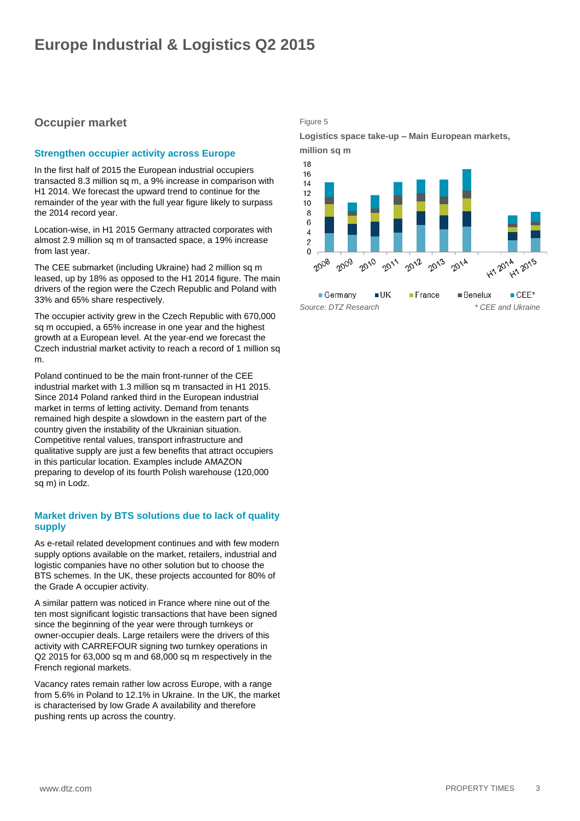# <span id="page-2-0"></span>**Occupier market**

# **Strengthen occupier activity across Europe**

In the first half of 2015 the European industrial occupiers transacted 8.3 million sq m, a 9% increase in comparison with H1 2014. We forecast the upward trend to continue for the remainder of the year with the full year figure likely to surpass the 2014 record year.

Location-wise, in H1 2015 Germany attracted corporates with almost 2.9 million sq m of transacted space, a 19% increase from last year.

The CEE submarket (including Ukraine) had 2 million sq m leased, up by 18% as opposed to the H1 2014 figure. The main drivers of the region were the Czech Republic and Poland with 33% and 65% share respectively.

The occupier activity grew in the Czech Republic with 670,000 sq m occupied, a 65% increase in one year and the highest growth at a European level. At the year-end we forecast the Czech industrial market activity to reach a record of 1 million sq m.

Poland continued to be the main front-runner of the CEE industrial market with 1.3 million sq m transacted in H1 2015. Since 2014 Poland ranked third in the European industrial market in terms of letting activity. Demand from tenants remained high despite a slowdown in the eastern part of the country given the instability of the Ukrainian situation. Competitive rental values, transport infrastructure and qualitative supply are just a few benefits that attract occupiers in this particular location. Examples include AMAZON preparing to develop of its fourth Polish warehouse (120,000 sq m) in Lodz.

# **Market driven by BTS solutions due to lack of quality supply**

As e-retail related development continues and with few modern supply options available on the market, retailers, industrial and logistic companies have no other solution but to choose the BTS schemes. In the UK, these projects accounted for 80% of the Grade A occupier activity.

A similar pattern was noticed in France where nine out of the ten most significant logistic transactions that have been signed since the beginning of the year were through turnkeys or owner-occupier deals. Large retailers were the drivers of this activity with CARREFOUR signing two turnkey operations in Q2 2015 for 63,000 sq m and 68,000 sq m respectively in the French regional markets.

Vacancy rates remain rather low across Europe, with a range from 5.6% in Poland to 12.1% in Ukraine. In the UK, the market is characterised by low Grade A availability and therefore pushing rents up across the country.

Figure 5

**Logistics space take-up – Main European markets, million sq m**

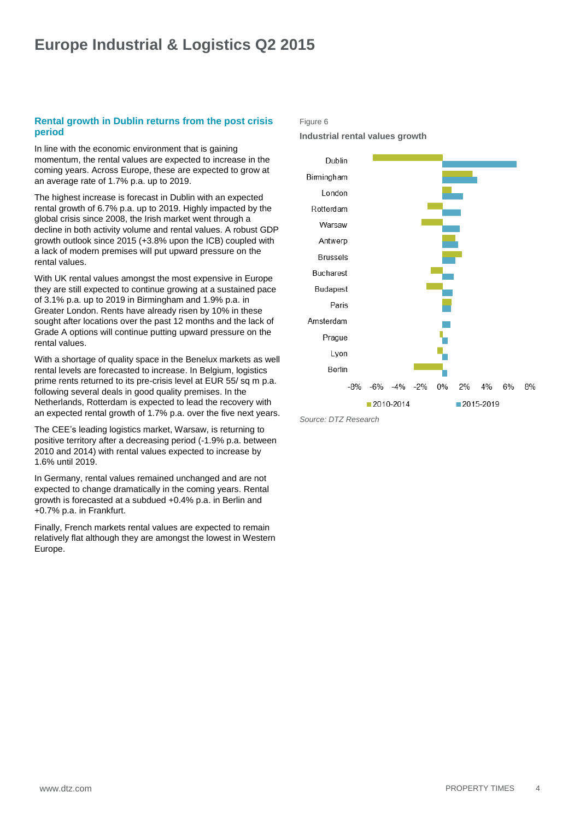# <span id="page-3-0"></span>**Rental growth in Dublin returns from the post crisis period**

In line with the economic environment that is gaining momentum, the rental values are expected to increase in the coming years. Across Europe, these are expected to grow at an average rate of 1.7% p.a. up to 2019.

The highest increase is forecast in Dublin with an expected rental growth of 6.7% p.a. up to 2019. Highly impacted by the global crisis since 2008, the Irish market went through a decline in both activity volume and rental values. A robust GDP growth outlook since 2015 (+3.8% upon the ICB) coupled with a lack of modern premises will put upward pressure on the rental values.

With UK rental values amongst the most expensive in Europe they are still expected to continue growing at a sustained pace of 3.1% p.a. up to 2019 in Birmingham and 1.9% p.a. in Greater London. Rents have already risen by 10% in these sought after locations over the past 12 months and the lack of Grade A options will continue putting upward pressure on the rental values.

With a shortage of quality space in the Benelux markets as well rental levels are forecasted to increase. In Belgium, logistics prime rents returned to its pre-crisis level at EUR 55/ sq m p.a. following several deals in good quality premises. In the Netherlands, Rotterdam is expected to lead the recovery with an expected rental growth of 1.7% p.a. over the five next years.

The CEE's leading logistics market, Warsaw, is returning to positive territory after a decreasing period (-1.9% p.a. between 2010 and 2014) with rental values expected to increase by 1.6% until 2019.

In Germany, rental values remained unchanged and are not expected to change dramatically in the coming years. Rental growth is forecasted at a subdued +0.4% p.a. in Berlin and +0.7% p.a. in Frankfurt.

Finally, French markets rental values are expected to remain relatively flat although they are amongst the lowest in Western Europe.

### Figure 6

**Industrial rental values growth**



*Source: DTZ Research*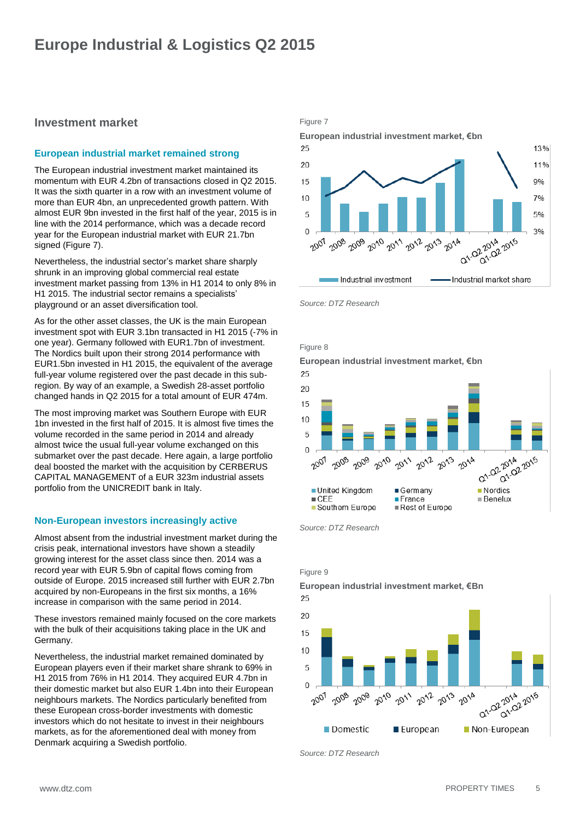# **Investment market**

# **European industrial market remained strong**

The European industrial investment market maintained its momentum with EUR 4.2bn of transactions closed in Q2 2015. It was the sixth quarter in a row with an investment volume of more than EUR 4bn, an unprecedented growth pattern. With almost EUR 9bn invested in the first half of the year, 2015 is in line with the 2014 performance, which was a decade record year for the European industrial market with EUR 21.7bn signed (Figure 7).

Nevertheless, the industrial sector's market share sharply shrunk in an improving global commercial real estate investment market passing from 13% in H1 2014 to only 8% in H1 2015. The industrial sector remains a specialists' playground or an asset diversification tool.

As for the other asset classes, the UK is the main European investment spot with EUR 3.1bn transacted in H1 2015 (-7% in one year). Germany followed with EUR1.7bn of investment. The Nordics built upon their strong 2014 performance with EUR1.5bn invested in H1 2015, the equivalent of the average full-year volume registered over the past decade in this subregion. By way of an example, a Swedish 28-asset portfolio changed hands in Q2 2015 for a total amount of EUR 474m.

The most improving market was Southern Europe with EUR 1bn invested in the first half of 2015. It is almost five times the volume recorded in the same period in 2014 and already almost twice the usual full-year volume exchanged on this submarket over the past decade. Here again, a large portfolio deal boosted the market with the acquisition by CERBERUS CAPITAL MANAGEMENT of a EUR 323m industrial assets portfolio from the UNICREDIT bank in Italy.

## **Non-European investors increasingly active**

Almost absent from the industrial investment market during the crisis peak, international investors have shown a steadily growing interest for the asset class since then. 2014 was a record year with EUR 5.9bn of capital flows coming from outside of Europe. 2015 increased still further with EUR 2.7bn acquired by non-Europeans in the first six months, a 16% increase in comparison with the same period in 2014.

These investors remained mainly focused on the core markets with the bulk of their acquisitions taking place in the UK and Germany.

Nevertheless, the industrial market remained dominated by European players even if their market share shrank to 69% in H1 2015 from 76% in H1 2014. They acquired EUR 4.7bn in their domestic market but also EUR 1.4bn into their European neighbours markets. The Nordics particularly benefited from these European cross-border investments with domestic investors which do not hesitate to invest in their neighbours markets, as for the aforementioned deal with money from Denmark acquiring a Swedish portfolio.

### Figure 7



*Source: DTZ Research*



**European industrial investment market, €bn**



*Source: DTZ Research*

Figure 9

**European industrial investment market, €Bn** 25  $20$ 15  $10$ 5  $\Omega$ 2 2014 2015 Q1.02-2014 2009 2008 2010 2007 2011 2012 2013 2014

■ European

*Source: DTZ Research*

Domestic

Non-European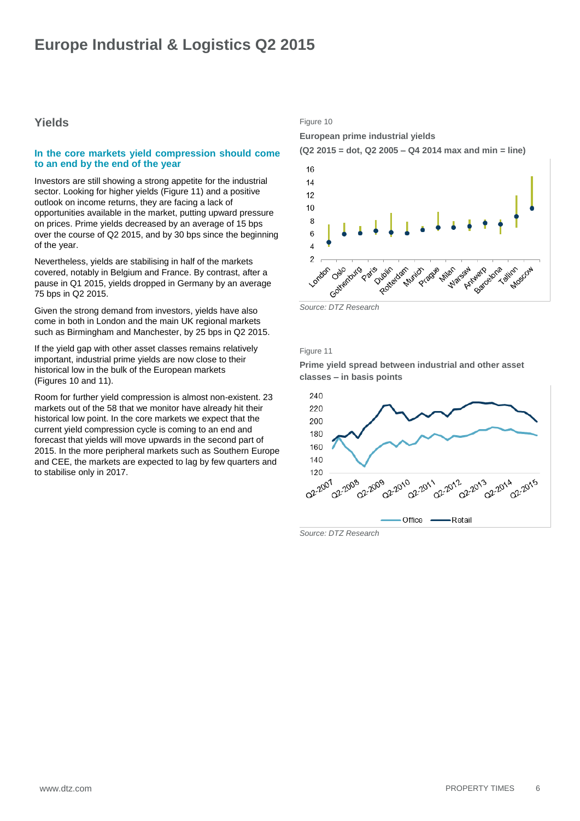# <span id="page-5-0"></span>**Yields**

### **In the core markets yield compression should come to an end by the end of the year**

Investors are still showing a strong appetite for the industrial sector. Looking for higher yields (Figure 11) and a positive outlook on income returns, they are facing a lack of opportunities available in the market, putting upward pressure on prices. Prime yields decreased by an average of 15 bps over the course of Q2 2015, and by 30 bps since the beginning of the year.

Nevertheless, yields are stabilising in half of the markets covered, notably in Belgium and France. By contrast, after a pause in Q1 2015, yields dropped in Germany by an average 75 bps in Q2 2015.

Given the strong demand from investors, yields have also come in both in London and the main UK regional markets such as Birmingham and Manchester, by 25 bps in Q2 2015.

If the yield gap with other asset classes remains relatively important, industrial prime yields are now close to their historical low in the bulk of the European markets (Figures 10 and 11).

Room for further yield compression is almost non-existent. 23 markets out of the 58 that we monitor have already hit their historical low point. In the core markets we expect that the current yield compression cycle is coming to an end and forecast that yields will move upwards in the second part of 2015. In the more peripheral markets such as Southern Europe and CEE, the markets are expected to lag by few quarters and to stabilise only in 2017.

# Figure 10

**European prime industrial yields**





#### Figure 11

**Prime yield spread between industrial and other asset classes – in basis points**



*Source: DTZ Research*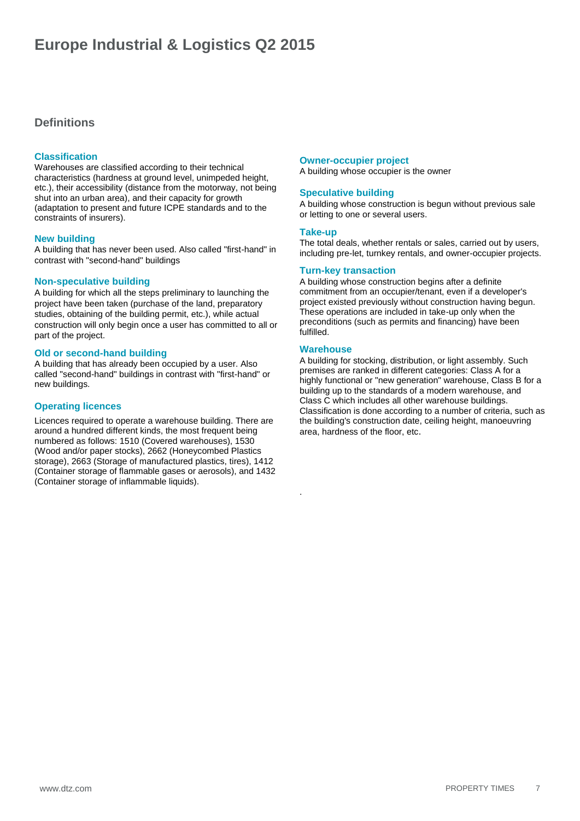# <span id="page-6-0"></span>**Definitions**

# **Classification**

Warehouses are classified according to their technical characteristics (hardness at ground level, unimpeded height, etc.), their accessibility (distance from the motorway, not being shut into an urban area), and their capacity for growth (adaptation to present and future ICPE standards and to the constraints of insurers).

## **New building**

A building that has never been used. Also called "first-hand" in contrast with "second-hand" buildings

### **Non-speculative building**

A building for which all the steps preliminary to launching the project have been taken (purchase of the land, preparatory studies, obtaining of the building permit, etc.), while actual construction will only begin once a user has committed to all or part of the project.

### **Old or second-hand building**

A building that has already been occupied by a user. Also called "second-hand" buildings in contrast with "first-hand" or new buildings.

## **Operating licences**

Licences required to operate a warehouse building. There are around a hundred different kinds, the most frequent being numbered as follows: 1510 (Covered warehouses), 1530 (Wood and/or paper stocks), 2662 (Honeycombed Plastics storage), 2663 (Storage of manufactured plastics, tires), 1412 (Container storage of flammable gases or aerosols), and 1432 (Container storage of inflammable liquids).

### **Owner-occupier project**

A building whose occupier is the owner

# **Speculative building**

A building whose construction is begun without previous sale or letting to one or several users.

#### **Take-up**

The total deals, whether rentals or sales, carried out by users, including pre-let, turnkey rentals, and owner-occupier projects.

## **Turn-key transaction**

A building whose construction begins after a definite commitment from an occupier/tenant, even if a developer's project existed previously without construction having begun. These operations are included in take-up only when the preconditions (such as permits and financing) have been fulfilled.

### **Warehouse**

.

A building for stocking, distribution, or light assembly. Such premises are ranked in different categories: Class A for a highly functional or "new generation" warehouse, Class B for a building up to the standards of a modern warehouse, and Class C which includes all other warehouse buildings. Classification is done according to a number of criteria, such as the building's construction date, ceiling height, manoeuvring area, hardness of the floor, etc.